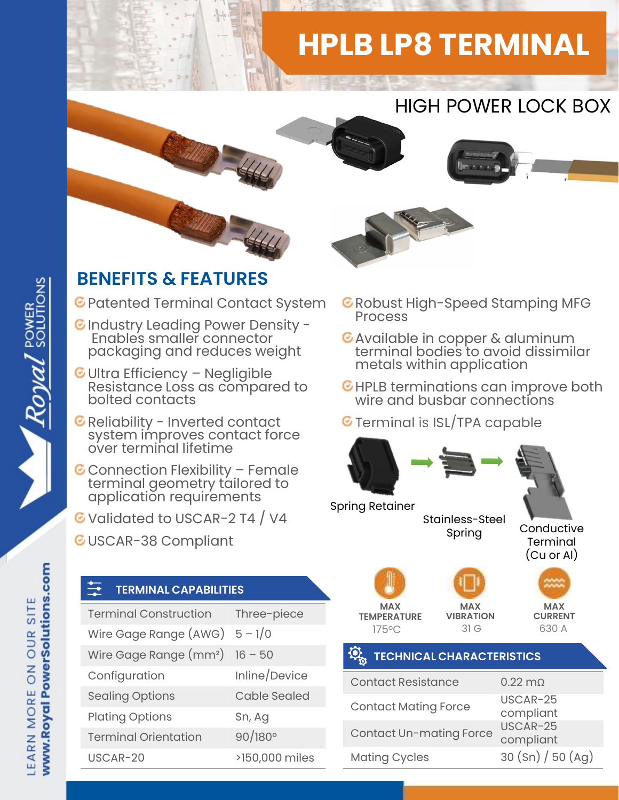## HPLB LP8 TERMINAL





## BENEFITS & FEATURES

C Patented Terminal Contact System C Robust I<br>Process

- C Industry Leading Power Density -<br>Enables smaller connector C Available in copper & aluminum Enables smaller connector packaging and reduces weight
- **ENEFITS & FEATURES**<br>
Patented Terminal Contact System CR<br>
Industry Leading Power Density Resistance Ionnector<br>
Packaging and reduces weight<br>
Ultra Efficiency Negligible<br>
Resistance Loss as compared to CH<br>
bolted conta Reliability Leading Power Density -<br>Finables smaller connector<br>packaging and reduces weight<br>Ultra Efficiency – Negligible<br>Resistance Loss as compared to<br>bolted contacts<br>Reliability - Inverted contact<br>system improves contac
- 
- packaging and reduces weight<br>
Ultra Efficiency Negligible<br>
Resistance Loss as compared to<br>
Reliability Inverted contact<br>
Reliability Inverted contact<br>
System improves contact force<br>
over terminal lifetime<br>
Connection
- G Validated to USCAR-2 T4 / V4
- GUSCAR-38 Compliant

## TERMINAL CAPABILITIES

| application requirements<br>Validated to USCAR-2 T4 / V4<br><b>USCAR-38 Compliant</b> |                     | <b>Spring Retainer</b>                |
|---------------------------------------------------------------------------------------|---------------------|---------------------------------------|
| 녌<br><b>TERMINAL CAPABILITIES</b>                                                     |                     |                                       |
| <b>Terminal Construction</b>                                                          | Three-piece         | <b>MAX</b><br><b>TEMPERATURE</b>      |
| Wire Gage Range $(AWG) 5 - 1/0$                                                       |                     | 175°C                                 |
| Wire Gage Range $(mm^2)$ 16 - 50                                                      |                     | $\mathbf{\Omega}$ .<br><b>TECHNIC</b> |
| Configuration                                                                         | Inline/Device       | <b>Contact Resi</b>                   |
| <b>Sealing Options</b>                                                                | <b>Cable Sealed</b> | <b>Contact Mati</b>                   |
| <b>Plating Options</b>                                                                | Sn, Ag              |                                       |
| <b>Terminal Orientation</b>                                                           | $90/180^{\circ}$    | Contact Un-                           |
| USCAR-20                                                                              | >150,000 miles      | <b>Mating Cycle</b>                   |
|                                                                                       |                     |                                       |



- $\bullet$  Robust High-Speed Stamping MFG
- terminal bodies to avoid dissimilar metals within application
- HPLB terminations can improve both wire and busbar connections
- $\epsilon$  Terminal is ISL/TPA capable



www.Royal PowerSolutions.com LEARN MORE ON OUR SITE